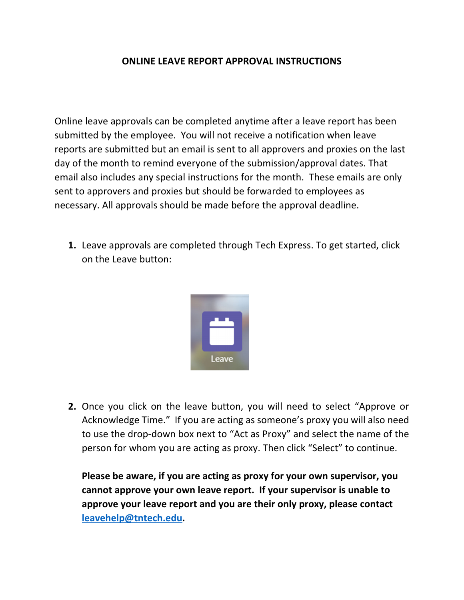#### **ONLINE LEAVE REPORT APPROVAL INSTRUCTIONS**

Online leave approvals can be completed anytime after a leave report has been submitted by the employee. You will not receive a notification when leave reports are submitted but an email is sent to all approvers and proxies on the last day of the month to remind everyone of the submission/approval dates. That email also includes any special instructions for the month. These emails are only sent to approvers and proxies but should be forwarded to employees as necessary. All approvals should be made before the approval deadline.

**1.** Leave approvals are completed through Tech Express. To get started, click on the Leave button:



**2.** Once you click on the leave button, you will need to select "Approve or Acknowledge Time." If you are acting as someone's proxy you will also need to use the drop‐down box next to "Act as Proxy" and select the name of the person for whom you are acting as proxy. Then click "Select" to continue.

**Please be aware, if you are acting as proxy for your own supervisor, you cannot approve your own leave report. If your supervisor is unable to approve your leave report and you are their only proxy, please contact leavehelp@tntech.edu.**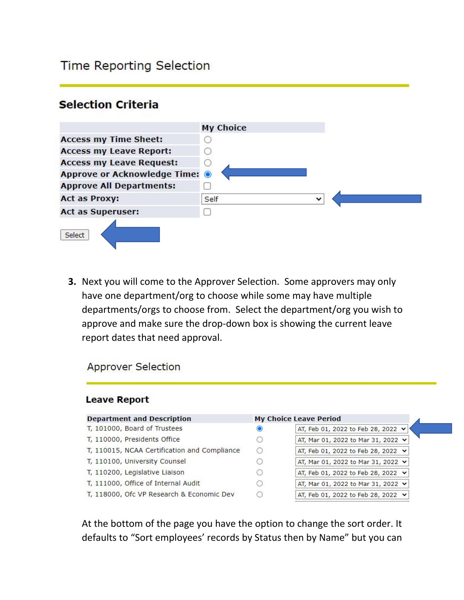# **Time Reporting Selection**

## **Selection Criteria**

|                                           | <b>My Choice</b>     |
|-------------------------------------------|----------------------|
| <b>Access my Time Sheet:</b>              |                      |
| <b>Access my Leave Report:</b>            |                      |
| <b>Access my Leave Request:</b>           | D.                   |
| Approve or Acknowledge Time: <sup>O</sup> |                      |
| <b>Approve All Departments:</b>           |                      |
| <b>Act as Proxy:</b>                      | $\checkmark$<br>Self |
| <b>Act as Superuser:</b>                  |                      |
| Select                                    |                      |

**3.** Next you will come to the Approver Selection. Some approvers may only have one department/org to choose while some may have multiple departments/orgs to choose from. Select the department/org you wish to approve and make sure the drop‐down box is showing the current leave report dates that need approval.

**Approver Selection** 

#### **Leave Report**

|   | <b>My Choice Leave Period</b>           |
|---|-----------------------------------------|
| O | AT, Feb 01, 2022 to Feb 28, 2022 v      |
| C | AT, Mar 01, 2022 to Mar 31, 2022 v      |
| € | AT, Feb 01, 2022 to Feb 28, 2022 $\vee$ |
| C | AT, Mar 01, 2022 to Mar 31, 2022 v      |
| C | AT, Feb 01, 2022 to Feb 28, 2022 v      |
| C | AT, Mar 01, 2022 to Mar 31, 2022 v      |
|   | AT, Feb 01, 2022 to Feb 28, 2022 v      |
|   |                                         |

At the bottom of the page you have the option to change the sort order. It defaults to "Sort employees' records by Status then by Name" but you can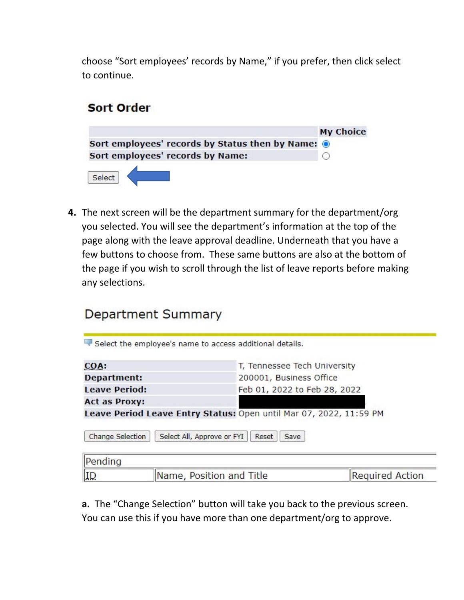choose "Sort employees' records by Name," if you prefer, then click select to continue.

## **Sort Order**



**4.** The next screen will be the department summary for the department/org you selected. You will see the department's information at the top of the page along with the leave approval deadline. Underneath that you have a few buttons to choose from. These same buttons are also at the bottom of the page if you wish to scroll through the list of leave reports before making any selections.

# **Department Summary**

| COA:<br><b>Department:</b> |                            | T, Tennessee Tech University<br>200001, Business Office            |  |  |
|----------------------------|----------------------------|--------------------------------------------------------------------|--|--|
|                            |                            |                                                                    |  |  |
| <b>Act as Proxy:</b>       |                            |                                                                    |  |  |
|                            |                            | Leave Period Leave Entry Status: Open until Mar 07, 2022, 11:59 PM |  |  |
|                            |                            |                                                                    |  |  |
| Change Selection           | Select All, Approve or FYI | Reset<br>Save                                                      |  |  |
| Pending                    |                            |                                                                    |  |  |

**a.** The "Change Selection" button will take you back to the previous screen. You can use this if you have more than one department/org to approve.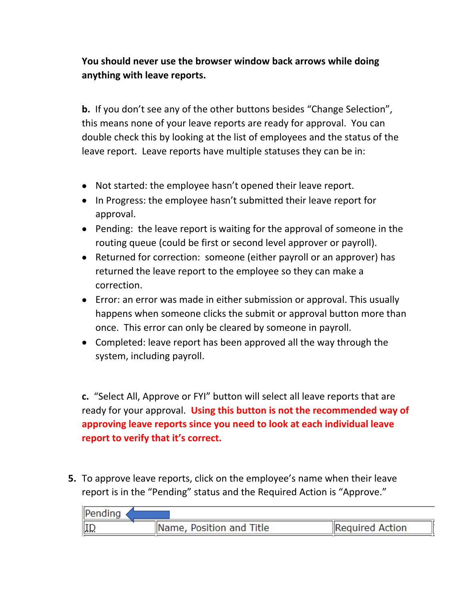## **You should never use the browser window back arrows while doing anything with leave reports.**

**b.** If you don't see any of the other buttons besides "Change Selection", this means none of your leave reports are ready for approval. You can double check this by looking at the list of employees and the status of the leave report. Leave reports have multiple statuses they can be in:

- Not started: the employee hasn't opened their leave report.
- In Progress: the employee hasn't submitted their leave report for approval.
- Pending: the leave report is waiting for the approval of someone in the routing queue (could be first or second level approver or payroll).
- Returned for correction: someone (either payroll or an approver) has returned the leave report to the employee so they can make a correction.
- Error: an error was made in either submission or approval. This usually happens when someone clicks the submit or approval button more than once. This error can only be cleared by someone in payroll.
- Completed: leave report has been approved all the way through the system, including payroll.

**c.** "Select All, Approve or FYI" button will select all leave reports that are ready for your approval. **Using this button is not the recommended way of approving leave reports since you need to look at each individual leave report to verify that it's correct.** 

**5.** To approve leave reports, click on the employee's name when their leave report is in the "Pending" status and the Required Action is "Approve."

| Pending |                          |                 |  |
|---------|--------------------------|-----------------|--|
| $\ I\ $ | Name, Position and Title | Required Action |  |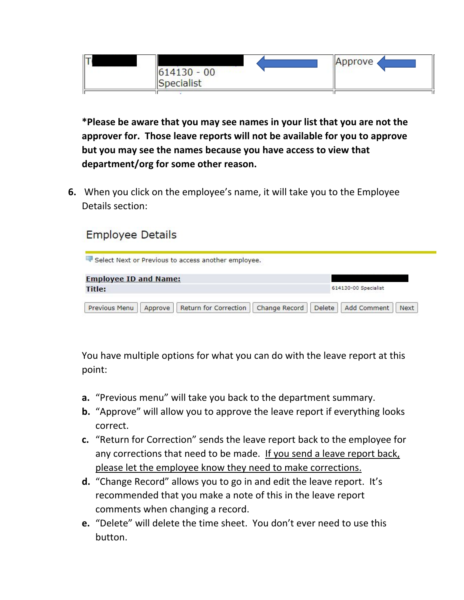

**\*Please be aware that you may see names in your list that you are not the approver for. Those leave reports will not be available for you to approve but you may see the names because you have access to view that department/org for some other reason.**

**6.** When you click on the employee's name, it will take you to the Employee Details section:

# **Employee Details**

| Select Next or Previous to access another employee. |  |                      |  |  |
|-----------------------------------------------------|--|----------------------|--|--|
| <b>Employee ID and Name:</b>                        |  |                      |  |  |
| Title:                                              |  | 614130-00 Specialist |  |  |

You have multiple options for what you can do with the leave report at this point:

- **a.** "Previous menu" will take you back to the department summary.
- **b.** "Approve" will allow you to approve the leave report if everything looks correct.
- **c.** "Return for Correction" sends the leave report back to the employee for any corrections that need to be made. If you send a leave report back, please let the employee know they need to make corrections.
- **d.** "Change Record" allows you to go in and edit the leave report. It's recommended that you make a note of this in the leave report comments when changing a record.
- **e.** "Delete" will delete the time sheet. You don't ever need to use this button.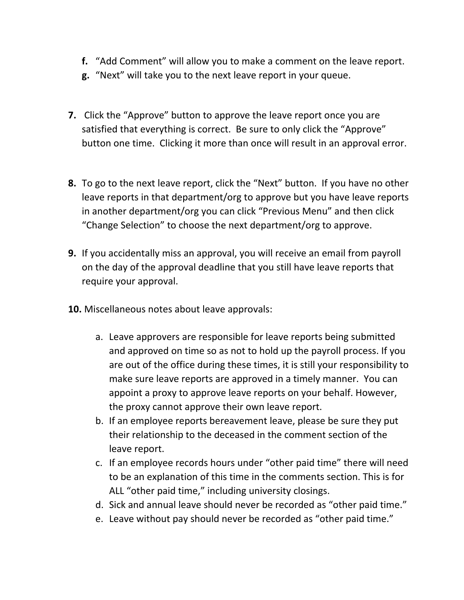- **f.** "Add Comment" will allow you to make a comment on the leave report.
- **g.** "Next" will take you to the next leave report in your queue.
- **7.** Click the "Approve" button to approve the leave report once you are satisfied that everything is correct. Be sure to only click the "Approve" button one time. Clicking it more than once will result in an approval error.
- **8.** To go to the next leave report, click the "Next" button. If you have no other leave reports in that department/org to approve but you have leave reports in another department/org you can click "Previous Menu" and then click "Change Selection" to choose the next department/org to approve.
- **9.** If you accidentally miss an approval, you will receive an email from payroll on the day of the approval deadline that you still have leave reports that require your approval.
- **10.** Miscellaneous notes about leave approvals:
	- a. Leave approvers are responsible for leave reports being submitted and approved on time so as not to hold up the payroll process. If you are out of the office during these times, it is still your responsibility to make sure leave reports are approved in a timely manner. You can appoint a proxy to approve leave reports on your behalf. However, the proxy cannot approve their own leave report.
	- b. If an employee reports bereavement leave, please be sure they put their relationship to the deceased in the comment section of the leave report.
	- c. If an employee records hours under "other paid time" there will need to be an explanation of this time in the comments section. This is for ALL "other paid time," including university closings.
	- d. Sick and annual leave should never be recorded as "other paid time."
	- e. Leave without pay should never be recorded as "other paid time."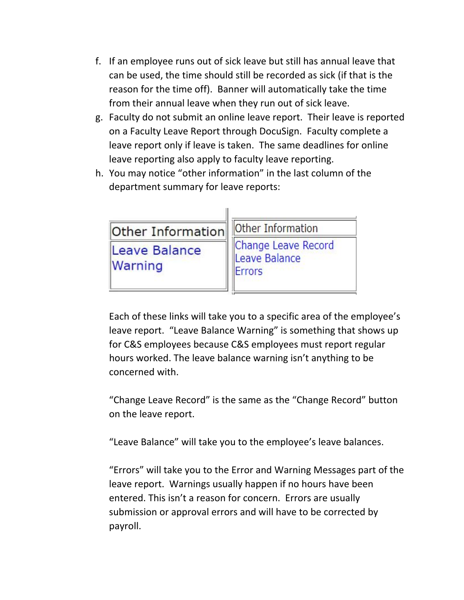- f. If an employee runs out of sick leave but still has annual leave that can be used, the time should still be recorded as sick (if that is the reason for the time off). Banner will automatically take the time from their annual leave when they run out of sick leave.
- g. Faculty do not submit an online leave report. Their leave is reported on a Faculty Leave Report through DocuSign. Faculty complete a leave report only if leave is taken. The same deadlines for online leave reporting also apply to faculty leave reporting.
- h. You may notice "other information" in the last column of the department summary for leave reports:

| Other Information        | Other Information                              |
|--------------------------|------------------------------------------------|
| Leave Balance<br>Warning | Change Leave Record<br>Leave Balance<br>Errors |

Each of these links will take you to a specific area of the employee's leave report. "Leave Balance Warning" is something that shows up for C&S employees because C&S employees must report regular hours worked. The leave balance warning isn't anything to be concerned with.

"Change Leave Record" is the same as the "Change Record" button on the leave report.

"Leave Balance" will take you to the employee's leave balances.

"Errors" will take you to the Error and Warning Messages part of the leave report. Warnings usually happen if no hours have been entered. This isn't a reason for concern. Errors are usually submission or approval errors and will have to be corrected by payroll.